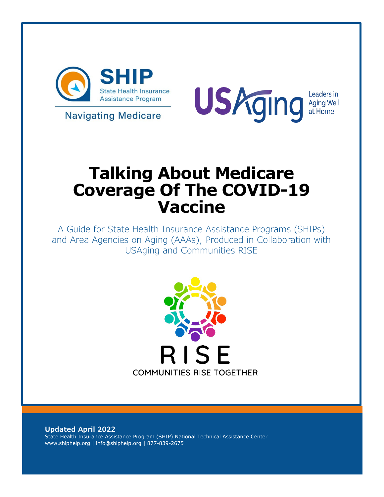

**Navigating Medicare** 



# **Talking About Medicare Coverage Of The COVID-19 Vaccine**

A Guide for State Health Insurance Assistance Programs (SHIPs) and Area Agencies on Aging (AAAs), Produced in Collaboration with USAging and Communities RISE



**Updated April 2022** State Health Insurance Assistance Program (SHIP) National Technical Assistance Center www.shiphelp.org | info@shiphelp.org | 877-839-2675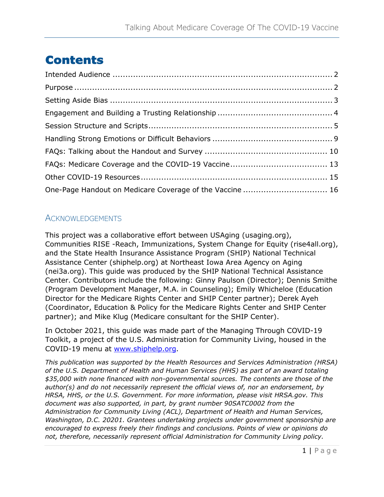## **Contents**

| One-Page Handout on Medicare Coverage of the Vaccine  16 |  |
|----------------------------------------------------------|--|

#### ACKNOWLEDGEMENTS

This project was a collaborative effort between USAging (usaging.org), Communities RISE -Reach, Immunizations, System Change for Equity (rise4all.org), and the State Health Insurance Assistance Program (SHIP) National Technical Assistance Center (shiphelp.org) at Northeast Iowa Area Agency on Aging (nei3a.org). This guide was produced by the SHIP National Technical Assistance Center. Contributors include the following: Ginny Paulson (Director); Dennis Smithe (Program Development Manager, M.A. in Counseling); Emily Whicheloe (Education Director for the Medicare Rights Center and SHIP Center partner); Derek Ayeh (Coordinator, Education & Policy for the Medicare Rights Center and SHIP Center partner); and Mike Klug (Medicare consultant for the SHIP Center).

In October 2021, this guide was made part of the Managing Through COVID-19 Toolkit, a project of the U.S. Administration for Community Living, housed in the COVID-19 menu at [www.shiphelp.org.](http://www.shiphelp.org/)

*This publication was supported by the Health Resources and Services Administration (HRSA) of the U.S. Department of Health and Human Services (HHS) as part of an award totaling \$35,000 with none financed with non-governmental sources. The contents are those of the author(s) and do not necessarily represent the official views of, nor an endorsement, by HRSA, HHS, or the U.S. Government. For more information, please visit HRSA.gov. This document was also supported, in part, by grant number 90SATC0002 from the Administration for Community Living (ACL), Department of Health and Human Services, Washington, D.C. 20201. Grantees undertaking projects under government sponsorship are encouraged to express freely their findings and conclusions. Points of view or opinions do not, therefore, necessarily represent official Administration for Community Living policy.*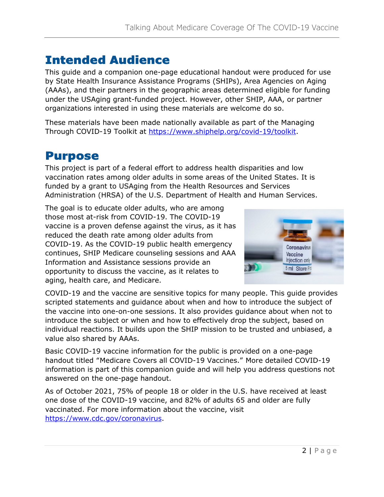### <span id="page-2-0"></span>Intended Audience

This guide and a companion one-page educational handout were produced for use by State Health Insurance Assistance Programs (SHIPs), Area Agencies on Aging (AAAs), and their partners in the geographic areas determined eligible for funding under the USAging grant-funded project. However, other SHIP, AAA, or partner organizations interested in using these materials are welcome do so.

These materials have been made nationally available as part of the Managing Through COVID-19 Toolkit at [https://www.shiphelp.org/covid-19/toolkit.](https://www.shiphelp.org/covid-19/toolkit)

### <span id="page-2-1"></span>Purpose

This project is part of a federal effort to address health disparities and low vaccination rates among older adults in some areas of the United States. It is funded by a grant to USAging from the Health Resources and Services Administration (HRSA) of the U.S. Department of Health and Human Services.

The goal is to educate older adults, who are among those most at-risk from COVID-19. The COVID-19 vaccine is a proven defense against the virus, as it has reduced the death rate among older adults from COVID-19. As the COVID-19 public health emergency continues, SHIP Medicare counseling sessions and AAA Information and Assistance sessions provide an opportunity to discuss the vaccine, as it relates to aging, health care, and Medicare.



COVID-19 and the vaccine are sensitive topics for many people. This guide provides scripted statements and guidance about when and how to introduce the subject of the vaccine into one-on-one sessions. It also provides guidance about when not to introduce the subject or when and how to effectively drop the subject, based on individual reactions. It builds upon the SHIP mission to be trusted and unbiased, a value also shared by AAAs.

Basic COVID-19 vaccine information for the public is provided on a one-page handout titled "Medicare Covers all COVID-19 Vaccines." More detailed COVID-19 information is part of this companion guide and will help you address questions not answered on the one-page handout.

As of October 2021, 75% of people 18 or older in the U.S. have received at least one dose of the COVID-19 vaccine, and 82% of adults 65 and older are fully vaccinated. For more information about the vaccine, visit [https://www.cdc.gov/coronavirus.](https://www.cdc.gov/coronavirus)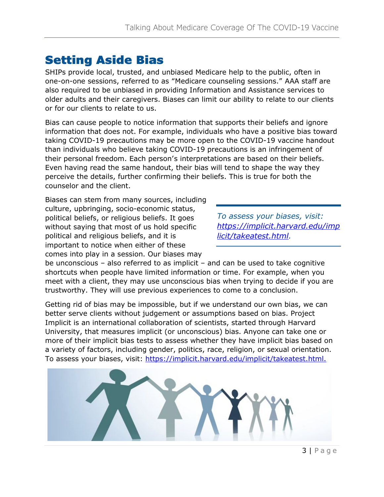### <span id="page-3-0"></span>Setting Aside Bias

SHIPs provide local, trusted, and unbiased Medicare help to the public, often in one-on-one sessions, referred to as "Medicare counseling sessions." AAA staff are also required to be unbiased in providing Information and Assistance services to older adults and their caregivers. Biases can limit our ability to relate to our clients or for our clients to relate to us.

Bias can cause people to notice information that supports their beliefs and ignore information that does not. For example, individuals who have a positive bias toward taking COVID-19 precautions may be more open to the COVID-19 vaccine handout than individuals who believe taking COVID-19 precautions is an infringement of their personal freedom. Each person's interpretations are based on their beliefs. Even having read the same handout, their bias will tend to shape the way they perceive the details, further confirming their beliefs. This is true for both the counselor and the client.

Biases can stem from many sources, including culture, upbringing, socio-economic status, political beliefs, or religious beliefs. It goes without saying that most of us hold specific political and religious beliefs, and it is important to notice when either of these comes into play in a session. Our biases may

*To assess your biases, visit: [https://implicit.harvard.edu/imp](https://implicit.harvard.edu/implicit/takeatest.html) [licit/takeatest.html.](https://implicit.harvard.edu/implicit/takeatest.html)* 

be unconscious – also referred to as implicit – and can be used to take cognitive shortcuts when people have limited information or time. For example, when you meet with a client, they may use unconscious bias when trying to decide if you are trustworthy. They will use previous experiences to come to a conclusion.

Getting rid of bias may be impossible, but if we understand our own bias, we can better serve clients without judgement or assumptions based on bias. Project Implicit is an international collaboration of scientists, started through Harvard University, that measures implicit (or unconscious) bias. Anyone can take one or more of their implicit bias tests to assess whether they have implicit bias based on a variety of factors, including gender, politics, race, religion, or sexual orientation. To assess your biases, visit: [https://implicit.harvard.edu/implicit/takeatest.html.](https://implicit.harvard.edu/implicit/takeatest.html)

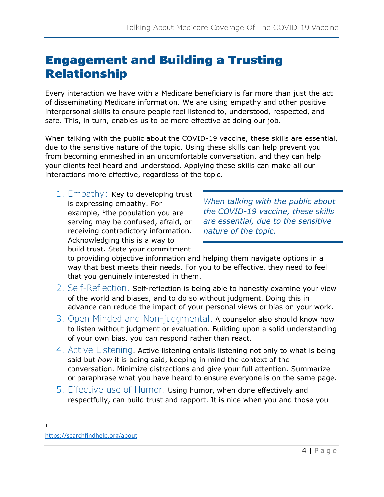### <span id="page-4-0"></span>Engagement and Building a Trusting Relationship

Every interaction we have with a Medicare beneficiary is far more than just the act of disseminating Medicare information. We are using empathy and other positive interpersonal skills to ensure people feel listened to, understood, respected, and safe. This, in turn, enables us to be more effective at doing our job.

When talking with the public about the COVID-19 vaccine, these skills are essential, due to the sensitive nature of the topic. Using these skills can help prevent you from becoming enmeshed in an uncomfortable conversation, and they can help your clients feel heard and understood. Applying these skills can make all our interactions more effective, regardless of the topic.

1. Empathy: Key to developing trust is expressing empathy. For example,  $1$ the population you are serving may be confused, afraid, or receiving contradictory information. Acknowledging this is a way to build trust. State your commitment

*When talking with the public about the COVID-19 vaccine, these skills are essential, due to the sensitive nature of the topic.*

to providing objective information and helping them navigate options in a way that best meets their needs. For you to be effective, they need to feel that you genuinely interested in them.

- 2. Self-Reflection. Self-reflection is being able to honestly examine your view of the world and biases, and to do so without judgment. Doing this in advance can reduce the impact of your personal views or bias on your work.
- 3. Open Minded and Non-judgmental. A counselor also should know how to listen without judgment or evaluation. Building upon a solid understanding of your own bias, you can respond rather than react.
- 4. Active Listening. Active listening entails listening not only to what is being said but *how* it is being said, keeping in mind the context of the conversation. Minimize distractions and give your full attention. Summarize or paraphrase what you have heard to ensure everyone is on the same page.
- 5. Effective use of Humor. Using humor, when done effectively and respectfully, can build trust and rapport. It is nice when you and those you

<span id="page-4-1"></span><sup>1</sup> https://searchfindhelp.org/about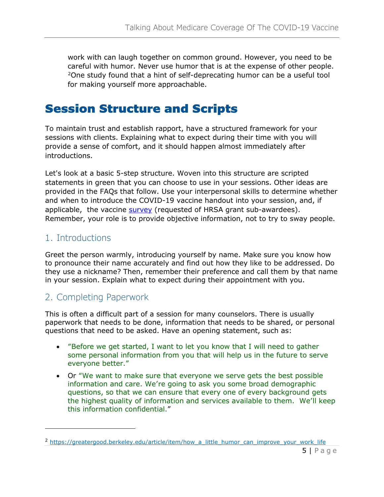work with can laugh together on common ground. However, you need to be careful with humor. Never use humor that is at the expense of other people.<br><sup>2</sup>One study found that a hint of self-deprecating humor can be a useful tool for making yourself more approachable.

### <span id="page-5-0"></span>Session Structure and Scripts

To maintain trust and establish rapport, have a structured framework for your sessions with clients. Explaining what to expect during their time with you will provide a sense of comfort, and it should happen almost immediately after introductions.

Let's look at a basic 5-step structure. Woven into this structure are scripted statements in green that you can choose to use in your sessions. Other ideas are provided in the FAQs that follow. Use your interpersonal skills to determine whether and when to introduce the COVID-19 vaccine handout into your session, and, if applicable, the vaccine [survey](https://weintheworld.notion.site/Forms-and-Surveys-for-Metrics-Learning-and-Evaluation-94814851d1164c0898f6220622d01130) (requested of HRSA grant sub-awardees). Remember, your role is to provide objective information, not to try to sway people.

#### 1. Introductions

Greet the person warmly, introducing yourself by name. Make sure you know how to pronounce their name accurately and find out how they like to be addressed. Do they use a nickname? Then, remember their preference and call them by that name in your session. Explain what to expect during their appointment with you.

#### 2. Completing Paperwork

This is often a difficult part of a session for many counselors. There is usually paperwork that needs to be done, information that needs to be shared, or personal questions that need to be asked. Have an opening statement, such as:

- "Before we get started, I want to let you know that I will need to gather some personal information from you that will help us in the future to serve everyone better."
- Or "We want to make sure that everyone we serve gets the best possible information and care. We're going to ask you some broad demographic questions, so that we can ensure that every one of every background gets the highest quality of information and services available to them. We'll keep this information confidential."

<span id="page-5-1"></span><sup>&</sup>lt;sup>2</sup> [https://greatergood.berkeley.edu/article/item/how\\_a\\_little\\_humor\\_can\\_improve\\_your\\_work\\_life](https://greatergood.berkeley.edu/article/item/how_a_little_humor_can_improve_your_work_life)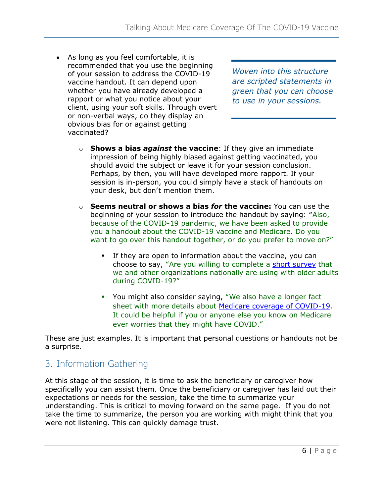• As long as you feel comfortable, it is recommended that you use the beginning of your session to address the COVID-19 vaccine handout. It can depend upon whether you have already developed a rapport or what you notice about your client, using your soft skills. Through overt or non-verbal ways, do they display an obvious bias for or against getting vaccinated?

*Woven into this structure are scripted statements in green that you can choose to use in your sessions.*

- o **Shows a bias** *against* **the vaccine**: If they give an immediate impression of being highly biased against getting vaccinated, you should avoid the subject or leave it for your session conclusion. Perhaps, by then, you will have developed more rapport. If your session is in-person, you could simply have a stack of handouts on your desk, but don't mention them.
- o **Seems neutral or shows a bias** *for* **the vaccine:** You can use the beginning of your session to introduce the handout by saying: "Also, because of the COVID-19 pandemic, we have been asked to provide you a handout about the COVID-19 vaccine and Medicare. Do you want to go over this handout together, or do you prefer to move on?"
	- If they are open to information about the vaccine, you can choose to say, "Are you willing to complete a short [survey](https://weintheworld.notion.site/Forms-and-Surveys-for-Metrics-Learning-and-Evaluation-94814851d1164c0898f6220622d01130) that we and other organizations nationally are using with older adults during COVID-19?"
	- You might also consider saying, "We also have a longer fact sheet with more details about [Medicare coverage of COVID-19.](https://www.shiphelp.org/covid-19) It could be helpful if you or anyone else you know on Medicare ever worries that they might have COVID."

These are just examples. It is important that personal questions or handouts not be a surprise.

#### 3. Information Gathering

At this stage of the session, it is time to ask the beneficiary or caregiver how specifically you can assist them. Once the beneficiary or caregiver has laid out their expectations or needs for the session, take the time to summarize your understanding. This is critical to moving forward on the same page. If you do not take the time to summarize, the person you are working with might think that you were not listening. This can quickly damage trust.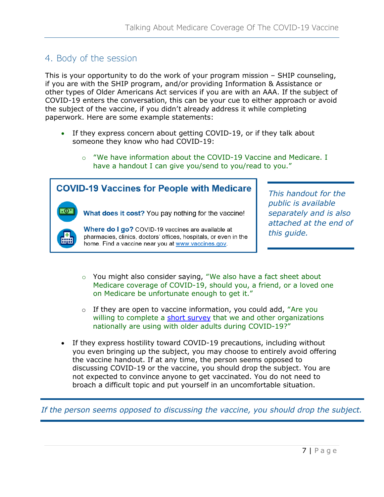#### 4. Body of the session

This is your opportunity to do the work of your program mission – SHIP counseling, if you are with the SHIP program, and/or providing Information & Assistance or other types of Older Americans Act services if you are with an AAA. If the subject of COVID-19 enters the conversation, this can be your cue to either approach or avoid the subject of the vaccine, if you didn't already address it while completing paperwork. Here are some example statements:

- If they express concern about getting COVID-19, or if they talk about someone they know who had COVID-19:
- have a handout I can give you/send to you/read to you." **COVID-19 Vaccines for People with Medicare** *This handout for the public is available*  What does it cost? You pay nothing for the vaccine! *separately and is also attached at the end of*  Where do I go? COVID-19 vaccines are available at *this guide.* pharmacies, clinics, doctors' offices, hospitals, or even in the home. Find a vaccine near you at www.vaccines.gov.

 $\circ$  "We have information about the COVID-19 Vaccine and Medicare. I

- o You might also consider saying, "We also have a fact sheet about Medicare coverage of COVID-19, should you, a friend, or a loved one on Medicare be unfortunate enough to get it."
- $\circ$  If they are open to vaccine information, you could add, "Are you willing to complete a short [survey](https://weintheworld.notion.site/Forms-and-Surveys-for-Metrics-Learning-and-Evaluation-94814851d1164c0898f6220622d01130) that we and other organizations nationally are using with older adults during COVID-19?"
- If they express hostility toward COVID-19 precautions, including without you even bringing up the subject, you may choose to entirely avoid offering the vaccine handout. If at any time, the person seems opposed to discussing COVID-19 or the vaccine, you should drop the subject. You are not expected to convince anyone to get vaccinated. You do not need to broach a difficult topic and put yourself in an uncomfortable situation.

*If the person seems opposed to discussing the vaccine, you should drop the subject.*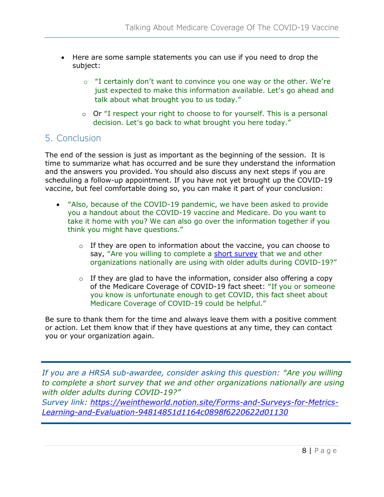- Here are some sample statements you can use if you need to drop the subject:
	- $\circ$  "I certainly don't want to convince you one way or the other. We're just expected to make this information available. Let's go ahead and talk about what brought you to us today."
	- o Or "I respect your right to choose to for yourself. This is a personal decision. Let's go back to what brought you here today."

#### 5. Conclusion

The end of the session is just as important as the beginning of the session. It is time to summarize what has occurred and be sure they understand the information and the answers you provided. You should also discuss any next steps if you are scheduling a follow-up appointment. If you have not yet brought up the COVID-19 vaccine, but feel comfortable doing so, you can make it part of your conclusion:

- "Also, because of the COVID-19 pandemic, we have been asked to provide you a handout about the COVID-19 vaccine and Medicare. Do you want to take it home with you? We can also go over the information together if you think you might have questions."
	- $\circ$  If they are open to information about the vaccine, you can choose to say, "Are you willing to complete a short [survey](https://weintheworld.notion.site/Forms-and-Surveys-for-Metrics-Learning-and-Evaluation-94814851d1164c0898f6220622d01130) that we and other organizations nationally are using with older adults during COVID-19?"
	- $\circ$  If they are glad to have the information, consider also offering a copy of the Medicare Coverage of COVID-19 fact sheet: "If you or someone you know is unfortunate enough to get COVID, this fact sheet about Medicare Coverage of COVID-19 could be helpful."

Be sure to thank them for the time and always leave them with a positive comment or action. Let them know that if they have questions at any time, they can contact you or your organization again.

*If you are a HRSA sub-awardee, consider asking this question: "Are you willing to complete a short survey that we and other organizations nationally are using with older adults during COVID-19?"* 

*Survey link: [https://weintheworld.notion.site/Forms-and-Surveys-for-Metrics-](https://weintheworld.notion.site/Forms-and-Surveys-for-Metrics-Learning-and-Evaluation-94814851d1164c0898f6220622d01130)[Learning-and-Evaluation-94814851d1164c0898f6220622d01130](https://weintheworld.notion.site/Forms-and-Surveys-for-Metrics-Learning-and-Evaluation-94814851d1164c0898f6220622d01130)*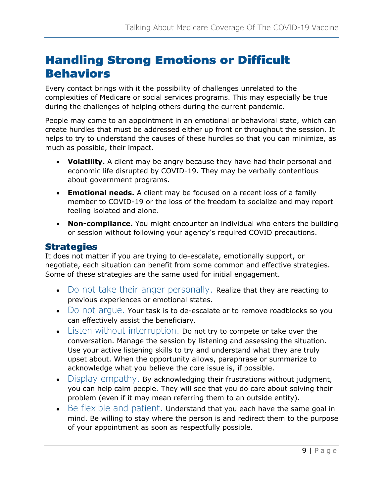### <span id="page-9-0"></span>Handling Strong Emotions or Difficult Behaviors

Every contact brings with it the possibility of challenges unrelated to the complexities of Medicare or social services programs. This may especially be true during the challenges of helping others during the current pandemic.

People may come to an appointment in an emotional or behavioral state, which can create hurdles that must be addressed either up front or throughout the session. It helps to try to understand the causes of these hurdles so that you can minimize, as much as possible, their impact.

- **Volatility.** A client may be angry because they have had their personal and economic life disrupted by COVID-19. They may be verbally contentious about government programs.
- **Emotional needs.** A client may be focused on a recent loss of a family member to COVID-19 or the loss of the freedom to socialize and may report feeling isolated and alone.
- **Non-compliance.** You might encounter an individual who enters the building or session without following your agency's required COVID precautions.

#### **Strategies**

It does not matter if you are trying to de-escalate, emotionally support, or negotiate, each situation can benefit from some common and effective strategies. Some of these strategies are the same used for initial engagement.

- Do not take their anger personally. Realize that they are reacting to previous experiences or emotional states.
- Do not arque. Your task is to de-escalate or to remove roadblocks so you can effectively assist the beneficiary.
- Listen without interruption. Do not try to compete or take over the conversation. Manage the session by listening and assessing the situation. Use your active listening skills to try and understand what they are truly upset about. When the opportunity allows, paraphrase or summarize to acknowledge what you believe the core issue is, if possible.
- Display empathy. By acknowledging their frustrations without judgment, you can help calm people. They will see that you do care about solving their problem (even if it may mean referring them to an outside entity).
- Be flexible and patient. Understand that you each have the same goal in mind. Be willing to stay where the person is and redirect them to the purpose of your appointment as soon as respectfully possible.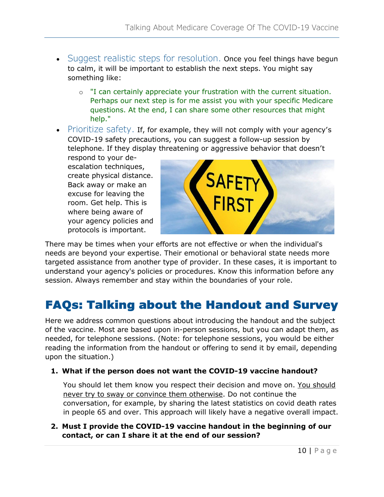- Suggest realistic steps for resolution. Once you feel things have begun to calm, it will be important to establish the next steps. You might say something like:
	- o "I can certainly appreciate your frustration with the current situation. Perhaps our next step is for me assist you with your specific Medicare questions. At the end, I can share some other resources that might help."
- Prioritize safety. If, for example, they will not comply with your agency's COVID-19 safety precautions, you can suggest a follow-up session by telephone. If they display threatening or aggressive behavior that doesn't

respond to your deescalation techniques, create physical distance. Back away or make an excuse for leaving the room. Get help. This is where being aware of your agency policies and protocols is important.



There may be times when your efforts are not effective or when the individual's needs are beyond your expertise. Their emotional or behavioral state needs more targeted assistance from another type of provider. In these cases, it is important to understand your agency's policies or procedures. Know this information before any session. Always remember and stay within the boundaries of your role.

### <span id="page-10-0"></span>FAQs: Talking about the Handout and Survey

Here we address common questions about introducing the handout and the subject of the vaccine. Most are based upon in-person sessions, but you can adapt them, as needed, for telephone sessions. (Note: for telephone sessions, you would be either reading the information from the handout or offering to send it by email, depending upon the situation.)

#### **1. What if the person does not want the COVID-19 vaccine handout?**

You should let them know you respect their decision and move on. You should never try to sway or convince them otherwise. Do not continue the conversation, for example, by sharing the latest statistics on covid death rates in people 65 and over. This approach will likely have a negative overall impact.

#### **2. Must I provide the COVID-19 vaccine handout in the beginning of our contact, or can I share it at the end of our session?**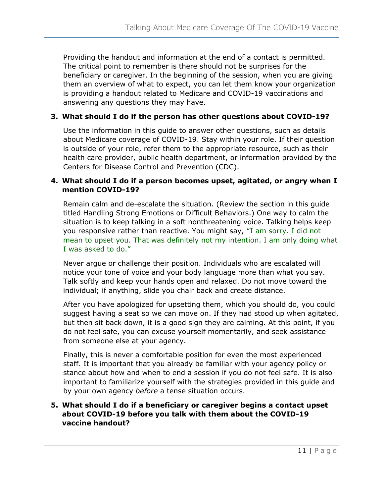Providing the handout and information at the end of a contact is permitted. The critical point to remember is there should not be surprises for the beneficiary or caregiver. In the beginning of the session, when you are giving them an overview of what to expect, you can let them know your organization is providing a handout related to Medicare and COVID-19 vaccinations and answering any questions they may have.

#### **3. What should I do if the person has other questions about COVID-19?**

Use the information in this guide to answer other questions, such as details about Medicare coverage of COVID-19. Stay within your role. If their question is outside of your role, refer them to the appropriate resource, such as their health care provider, public health department, or information provided by the Centers for Disease Control and Prevention (CDC).

#### **4. What should I do if a person becomes upset, agitated, or angry when I mention COVID-19?**

Remain calm and de-escalate the situation. (Review the section in this guide titled Handling Strong Emotions or Difficult Behaviors.) One way to calm the situation is to keep talking in a soft nonthreatening voice. Talking helps keep you responsive rather than reactive. You might say, "I am sorry. I did not mean to upset you. That was definitely not my intention. I am only doing what I was asked to do."

Never argue or challenge their position. Individuals who are escalated will notice your tone of voice and your body language more than what you say. Talk softly and keep your hands open and relaxed. Do not move toward the individual; if anything, slide you chair back and create distance.

After you have apologized for upsetting them, which you should do, you could suggest having a seat so we can move on. If they had stood up when agitated, but then sit back down, it is a good sign they are calming. At this point, if you do not feel safe, you can excuse yourself momentarily, and seek assistance from someone else at your agency.

Finally, this is never a comfortable position for even the most experienced staff. It is important that you already be familiar with your agency policy or stance about how and when to end a session if you do not feel safe. It is also important to familiarize yourself with the strategies provided in this guide and by your own agency *before* a tense situation occurs.

#### **5. What should I do if a beneficiary or caregiver begins a contact upset about COVID-19 before you talk with them about the COVID-19 vaccine handout?**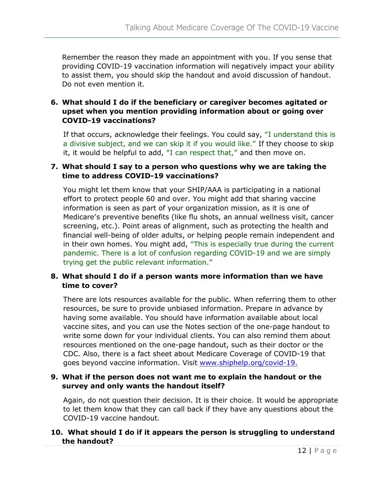Remember the reason they made an appointment with you. If you sense that providing COVID-19 vaccination information will negatively impact your ability to assist them, you should skip the handout and avoid discussion of handout. Do not even mention it.

#### **6. What should I do if the beneficiary or caregiver becomes agitated or upset when you mention providing information about or going over COVID-19 vaccinations?**

If that occurs, acknowledge their feelings. You could say, "I understand this is a divisive subject, and we can skip it if you would like." If they choose to skip it, it would be helpful to add, "I can respect that," and then move on.

#### **7. What should I say to a person who questions why we are taking the time to address COVID-19 vaccinations?**

You might let them know that your SHIP/AAA is participating in a national effort to protect people 60 and over. You might add that sharing vaccine information is seen as part of your organization mission, as it is one of Medicare's preventive benefits (like flu shots, an annual wellness visit, cancer screening, etc.). Point areas of alignment, such as protecting the health and financial well-being of older adults, or helping people remain independent and in their own homes. You might add, "This is especially true during the current pandemic. There is a lot of confusion regarding COVID-19 and we are simply trying get the public relevant information."

#### **8. What should I do if a person wants more information than we have time to cover?**

There are lots resources available for the public. When referring them to other resources, be sure to provide unbiased information. Prepare in advance by having some available. You should have information available about local vaccine sites, and you can use the Notes section of the one-page handout to write some down for your individual clients. You can also remind them about resources mentioned on the one-page handout, such as their doctor or the CDC. Also, there is a fact sheet about Medicare Coverage of COVID-19 that goes beyond vaccine information. Visit [www.shiphelp.org/covid-19.](http://www.shiphelp.org/covid-19)

#### **9. What if the person does not want me to explain the handout or the survey and only wants the handout itself?**

Again, do not question their decision. It is their choice. It would be appropriate to let them know that they can call back if they have any questions about the COVID-19 vaccine handout.

#### **10. What should I do if it appears the person is struggling to understand the handout?**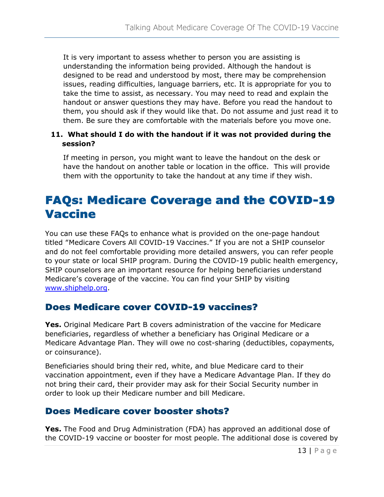It is very important to assess whether to person you are assisting is understanding the information being provided. Although the handout is designed to be read and understood by most, there may be comprehension issues, reading difficulties, language barriers, etc. It is appropriate for you to take the time to assist, as necessary. You may need to read and explain the handout or answer questions they may have. Before you read the handout to them, you should ask if they would like that. Do not assume and just read it to them. Be sure they are comfortable with the materials before you move one.

#### **11. What should I do with the handout if it was not provided during the session?**

If meeting in person, you might want to leave the handout on the desk or have the handout on another table or location in the office. This will provide them with the opportunity to take the handout at any time if they wish.

### <span id="page-13-0"></span>FAQs: Medicare Coverage and the COVID-19 Vaccine

You can use these FAQs to enhance what is provided on the one-page handout titled "Medicare Covers All COVID-19 Vaccines." If you are not a SHIP counselor and do not feel comfortable providing more detailed answers, you can refer people to your state or local SHIP program. During the COVID-19 public health emergency, SHIP counselors are an important resource for helping beneficiaries understand Medicare's coverage of the vaccine. You can find your SHIP by visiting [www.shiphelp.org.](http://www.shiphelp.org/)

#### Does Medicare cover COVID-19 vaccines?

**Yes.** Original Medicare Part B covers administration of the vaccine for Medicare beneficiaries, regardless of whether a beneficiary has Original Medicare or a Medicare Advantage Plan. They will owe no cost-sharing (deductibles, copayments, or coinsurance).

Beneficiaries should bring their red, white, and blue Medicare card to their vaccination appointment, even if they have a Medicare Advantage Plan. If they do not bring their card, their provider may ask for their Social Security number in order to look up their Medicare number and bill Medicare.

### Does Medicare cover booster shots?

**Yes.** The Food and Drug Administration (FDA) has approved an additional dose of the COVID-19 vaccine or booster for most people. The additional dose is covered by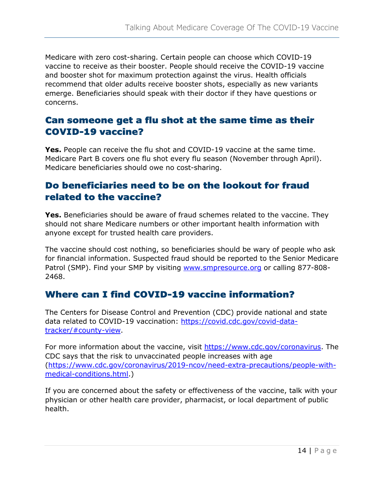Medicare with zero cost-sharing. Certain people can choose which COVID-19 vaccine to receive as their booster. People should receive the COVID-19 vaccine and booster shot for maximum protection against the virus. Health officials recommend that older adults receive booster shots, especially as new variants emerge. Beneficiaries should speak with their doctor if they have questions or concerns.

#### Can someone get a flu shot at the same time as their COVID-19 vaccine?

**Yes.** People can receive the flu shot and COVID-19 vaccine at the same time. Medicare Part B covers one flu shot every flu season (November through April). Medicare beneficiaries should owe no cost-sharing.

#### Do beneficiaries need to be on the lookout for fraud related to the vaccine?

**Yes.** Beneficiaries should be aware of fraud schemes related to the vaccine. They should not share Medicare numbers or other important health information with anyone except for trusted health care providers.

The vaccine should cost nothing, so beneficiaries should be wary of people who ask for financial information. Suspected fraud should be reported to the Senior Medicare Patrol (SMP). Find your SMP by visiting [www.smpresource.org](http://www.smpresource.org/) or calling 877-808- 2468.

#### Where can I find COVID-19 vaccine information?

The Centers for Disease Control and Prevention (CDC) provide national and state data related to COVID-19 vaccination: [https://covid.cdc.gov/covid-data](https://covid.cdc.gov/covid-data-tracker/#county-view)[tracker/#county-view.](https://covid.cdc.gov/covid-data-tracker/#county-view)

For more information about the vaccine, visit [https://www.cdc.gov/coronavirus.](https://www.cdc.gov/coronavirus) The CDC says that the risk to unvaccinated people increases with age [\(https://www.cdc.gov/coronavirus/2019-ncov/need-extra-precautions/people-with](https://www.cdc.gov/coronavirus/2019-ncov/need-extra-precautions/people-with-medical-conditions.html)[medical-conditions.html.](https://www.cdc.gov/coronavirus/2019-ncov/need-extra-precautions/people-with-medical-conditions.html))

If you are concerned about the safety or effectiveness of the vaccine, talk with your physician or other health care provider, pharmacist, or local department of public health.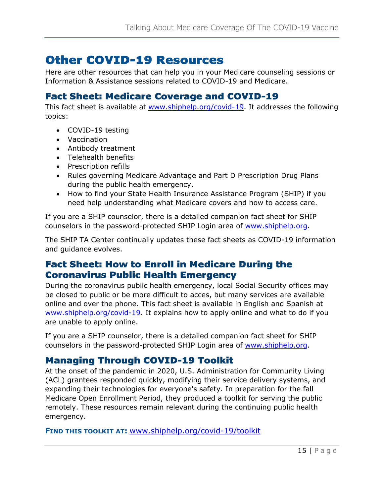### <span id="page-15-0"></span>Other COVID-19 Resources

Here are other resources that can help you in your Medicare counseling sessions or Information & Assistance sessions related to COVID-19 and Medicare.

#### Fact Sheet: Medicare Coverage and COVID-19

This fact sheet is available at [www.shiphelp.org/covid-19.](http://www.shiphelp.org/covid-19) It addresses the following topics:

- COVID-19 testing
- Vaccination
- Antibody treatment
- Telehealth benefits
- Prescription refills
- Rules governing Medicare Advantage and Part D Prescription Drug Plans during the public health emergency.
- How to find your State Health Insurance Assistance Program (SHIP) if you need help understanding what Medicare covers and how to access care.

If you are a SHIP counselor, there is a detailed companion fact sheet for SHIP counselors in the password-protected SHIP Login area of [www.shiphelp.org.](http://www.shiphelp.org/)

The SHIP TA Center continually updates these fact sheets as COVID-19 information and guidance evolves.

#### Fact Sheet: How to Enroll in Medicare During the Coronavirus Public Health Emergency

During the coronavirus public health emergency, local Social Security offices may be closed to public or be more difficult to acces, but many services are available online and over the phone. This fact sheet is available in English and Spanish at [www.shiphelp.org/covid-19.](http://www.shiphelp.org/covid-19) It explains how to apply online and what to do if you are unable to apply online.

If you are a SHIP counselor, there is a detailed companion fact sheet for SHIP counselors in the password-protected SHIP Login area of [www.shiphelp.org.](http://www.shiphelp.org/)

#### Managing Through COVID-19 Toolkit

At the onset of the pandemic in 2020, U.S. Administration for Community Living (ACL) grantees responded quickly, modifying their service delivery systems, and expanding their technologies for everyone's safety. In preparation for the fall Medicare Open Enrollment Period, they produced a toolkit for serving the public remotely. These resources remain relevant during the continuing public health emergency.

**FIND THIS TOOLKIT AT:** [www.shiphelp.org/covid-19/toolkit](http://www.shiphelp.org/covid-19/toolkit)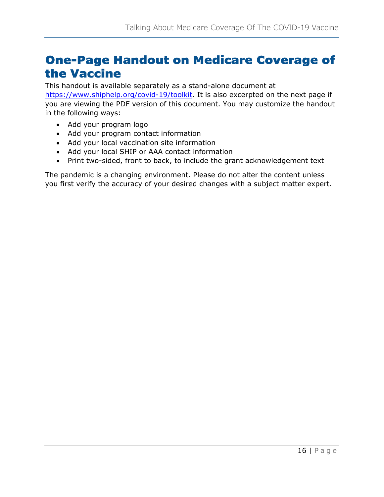### <span id="page-16-0"></span>One-Page Handout on Medicare Coverage of the Vaccine

This handout is available separately as a stand-alone document at [https://www.shiphelp.org/covid-19/toolkit.](https://www.shiphelp.org/covid-19/toolkit) It is also excerpted on the next page if you are viewing the PDF version of this document. You may customize the handout in the following ways:

- Add your program logo
- Add your program contact information
- Add your local vaccination site information
- Add your local SHIP or AAA contact information
- Print two-sided, front to back, to include the grant acknowledgement text

The pandemic is a changing environment. Please do not alter the content unless you first verify the accuracy of your desired changes with a subject matter expert.